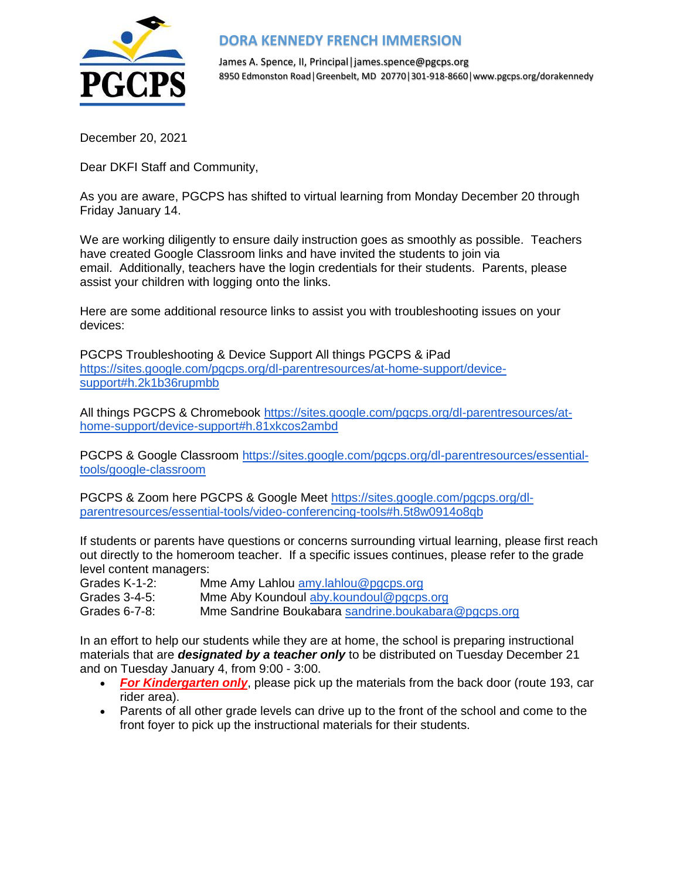

## **DORA KENNEDY FRENCH IMMERSION**

James A. Spence, II, Principal│james.spence@pgcps.org 8950 Edmonston Road│Greenbelt, MD 20770│301-918-8660│www.pgcps.org/dorakennedy

December 20, 2021

Dear DKFI Staff and Community,

As you are aware, PGCPS has shifted to virtual learning from Monday December 20 through Friday January 14.

We are working diligently to ensure daily instruction goes as smoothly as possible. Teachers have created Google Classroom links and have invited the students to join via email. Additionally, teachers have the login credentials for their students. Parents, please assist your children with logging onto the links.

Here are some additional resource links to assist you with troubleshooting issues on your devices:

PGCPS Troubleshooting & Device Support All things PGCPS & iPad [https://sites.google.com/pgcps.org/dl-parentresources/at-home-support/device](https://sites.google.com/pgcps.org/dl-parentresources/at-home-support/device-support#h.2k1b36rupmbb)[support#h.2k1b36rupmbb](https://sites.google.com/pgcps.org/dl-parentresources/at-home-support/device-support#h.2k1b36rupmbb)

All things PGCPS & Chromebook [https://sites.google.com/pgcps.org/dl-parentresources/at](https://sites.google.com/pgcps.org/dl-parentresources/at-home-support/device-support#h.81xkcos2ambd)[home-support/device-support#h.81xkcos2ambd](https://sites.google.com/pgcps.org/dl-parentresources/at-home-support/device-support#h.81xkcos2ambd)

PGCPS & Google Classroom [https://sites.google.com/pgcps.org/dl-parentresources/essential](https://sites.google.com/pgcps.org/dl-parentresources/essential-tools/google-classroom)[tools/google-classroom](https://sites.google.com/pgcps.org/dl-parentresources/essential-tools/google-classroom)

PGCPS & Zoom here PGCPS & Google Meet [https://sites.google.com/pgcps.org/dl](https://sites.google.com/pgcps.org/dl-parentresources/essential-tools/video-conferencing-tools#h.5t8w0914o8qb)[parentresources/essential-tools/video-conferencing-tools#h.5t8w0914o8qb](https://sites.google.com/pgcps.org/dl-parentresources/essential-tools/video-conferencing-tools#h.5t8w0914o8qb)

If students or parents have questions or concerns surrounding virtual learning, please first reach out directly to the homeroom teacher. If a specific issues continues, please refer to the grade level content managers:

Grades K-1-2: Mme Amy Lahlou amy lahlou@pgcps.org Grades 3-4-5: Mme Aby Koundoul [aby.koundoul@pgcps.org](mailto:aby.koundoul@pgcps.org)

Grades 6-7-8: Mme Sandrine Boukabara [sandrine.boukabara@pgcps.org](mailto:sandrine.boukabara@pgcps.org)

In an effort to help our students while they are at home, the school is preparing instructional materials that are *designated by a teacher only* to be distributed on Tuesday December 21 and on Tuesday January 4, from 9:00 - 3:00.

- **For Kindergarten only**, please pick up the materials from the back door (route 193, car rider area).
- Parents of all other grade levels can drive up to the front of the school and come to the front foyer to pick up the instructional materials for their students.